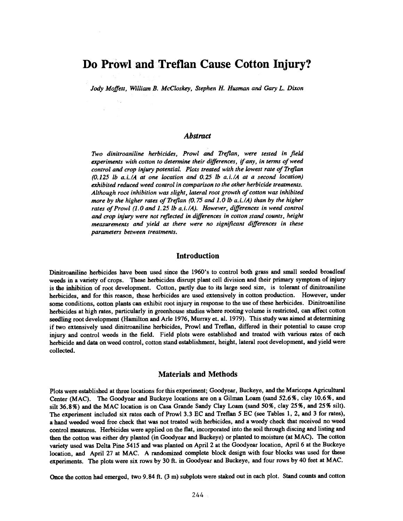# Do Prowl and Treflan Cause Cotton Injury?

Jody Moffett, 'William B. McCloskey, Stephen H. Husman and Gary L. Dixon

# Abstract

Two dinitroaniline herbicides, Prowl and Treflan, were tested in field experiments with cotton to determine their differences, if any, in terms of weed control and crop injury potential. Plots treated with the lowest rate of Treflan  $(0.125$  lb a.i./A at one location and  $0.25$  lb a.i./A at a second location) exhibited reduced weed control in comparison to the other herbicide treatments. Although root inhibition was slight, lateral root growth of cotton was inhibited more by the higher rates of Treflan (0.75 and 1.0 lb a. i. /A) than by the higher rates of Prowl (1.0 and 1.25 lb a.i./A). However, differences in weed control and crop injury were not reflected in differences in cotton stand counts, height measurements and yield as there were no significant differences in these parameters between treatments.

#### Introduction

Dinitroaniline herbicides have been used since the 1960's to control both grass and small seeded broadleaf weeds in a variety of crops. These herbicides disrupt plant cell division and their primary symptom of injury is the inhibition of root development. Cotton, partly due to its large seed size, is tolerant of dinitroaniline herbicides, and for this reason, these herbicides are used extensively in cotton production. However, under some conditions, cotton plants can exhibit root injury in response to the use of these herbicides. Dinitroaniline herbicides at high rates, particularly in greenhouse studies where rooting volume is restricted, can affect cotton seedling root development (Hamilton and Arle 1976, Murray et. al. 1979). This study was aimed at determining if two extensively used dinitroaniline herbicides, Prowl and Treflan, differed in their potential to cause crop injury and control weeds in the field. Field plots were established and treated with various rates of each herbicide and data on weed control, cotton stand establishment, height, lateral root development, and yield were collected.

### Materials and Methods

Plots were established at three locations for this experiment; Goodyear, Buckeye, and the Maricopa Agricultural Center (MAC). The Goodyear and Buckeye locations are on a Gilman Loam (sand 52.6 %, clay 10.6 %, and silt 36.8%) and the MAC location is on Casa Grande Sandy Clay Loam (sand 50 %, clay 25 %, and 25 % silt). The experiment included six rates each of Prowl 3.3 EC and Treflan 5 EC (see Tables 1, 2, and 3 for rates), a hand weeded weed free check that was not treated with herbicides, and a weedy check that received no weed control measures. Herbicides were applied on the flat, incorporated into the soil through discing and listing and then the cotton was either dry planted (in Goodyear and Buckeye) or planted to moisture (at MAC). The cotton variety used was Delta Pine 5415 and was planted on April 2 at the Goodyear location, April 6 at the Buckeye location, and April 27 at MAC. A randomized complete block design with four blocks was used for these experiments. The plots were six rows by 30 ft. in Goodyear and Buckeye, and four rows by 40 feet at MAC.

Once the cotton had emerged, two 9.84 ft. (3 m) subplots were staked out in each plot. Stand counts and cotton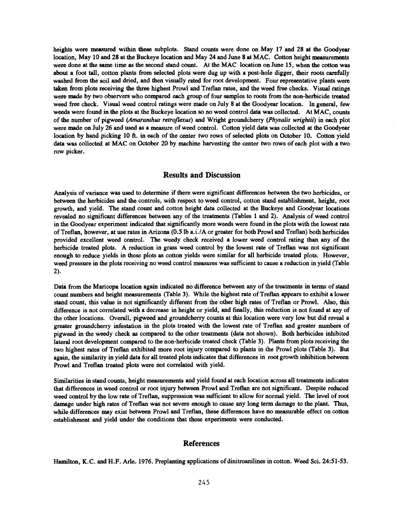heights were measured within these subplots. Stand counts were done on May 17 and 28 at the Goodyear location, May 10 and 28 at the Buckeye location and May 24 and June 8 at MAC. Cotton height measurements were done at the same time as the second stand count. At the MAC location on June 15, when the cotton was about a foot tall, cotton plants from selected plots were dug up with a post -hole digger, their roots carefully washed from the soil and dried, and then visually rated for root development. Four representative plants were taken from plots receiving the three highest Prowl and Treflan rates, and the weed free checks. Visual ratings were made by two observers who compared each group of four samples to roots from the non-herbicide treated weed free check. Visual weed control ratings were made on July 8 at the Goodyear location. In general, few weeds were found in the plots at the Buckeye location so no weed control data was collected. At MAC, counts of the number of pigweed (Amaranthus retroflexus) and Wright groundcherry (Physalis wrightií) in each plot were made on July 26 and used as a measure of weed control. Cotton yield data was collected at the Goodyear location by hand picking 10 ft. in each of the center two rows of selected plots on October 10. Cotton yield data was collected at MAC on October 20 by machine harvesting the center two rows of each plot with a two row picker.

# Results and Discussion

Analysis of variance was used to determine if there were significant differences between the two herbicides, or between the herbicides and the controls, with respect to weed control, cotton stand establishment, height, root growth, and yield. The stand count and cotton height data collected at the Buckeye and Goodyear locations revealed no significant differences between any of the treatments (Tables 1 and 2). Analysis of weed control in the Goodyear experiment indicated that significantly more weeds were found in the plots with the lowest rate of Treflan, however, at use rates in Arizona (0.5 lb a. i. /A or greater for both Prowl and Treflan) both herbicides provided excellent weed control. The weedy check received a lower weed control rating than, any of the herbicide treated plots. A reduction in grass weed control by the lowest rate of Treflan was not significant enough to reduce yields in these plots as cotton yields were similar for all herbicide treated plots. However, weed pressure in the plots receiving no weed control measures was sufficient to cause a reduction in yield (Table 2).

Data from the Maricopa location again indicated no difference between any of the treatments in terms of stand count numbers and height measurements (Table 3). While the highest rate of Treflan appears to exhibit a lower stand count, this value is not significantly different from the other high rates of Treflan or Prowl. Also, this difference is not correlated with a decrease in height or yield, and finally, this reduction is not found at any of the other locations. Overall, pigweed and groundcherry counts at this location were very low but did reveal a greater groundcherry infestation in the plots treated with the lowest rate of Treflan and greater numbers of pigweed in the weedy check as compared to the other treatments (data not shown). Both herbicides inhibited lateral root development compared to the non -herbicide treated check (Table 3). Plants from plots receiving the two highest rates of Treflan exhibited more root injury compared to plants in the Prowl plots (Table 3). But again, the similarity in yield data for all treated plots indicates that differences in root growth inhibition between Prowl and Treflan treated plots were not correlated with yield.

Similarities in stand counts, height measurements and yield found at each location across all treatments indicates that differences in weed control or root injury between Prowl and Treflan are not significant. Despite reduced weed control by the low rate of Treflan, suppression was sufficient to allow for normal yield. The level of root damage under high rates of Treflan was not severe enough to cause any long term damage to the plant. Thus, while differences may exist between Prowl and Treflan, these differences have no measurable effect on cotton establishment and yield under the conditions that these experiments were conducted.

#### References

Hamilton, K.C. and H.F. Arle. 1976. Preplanting applications of dinitroanilines in cotton. Weed Sci. 24:51 -53.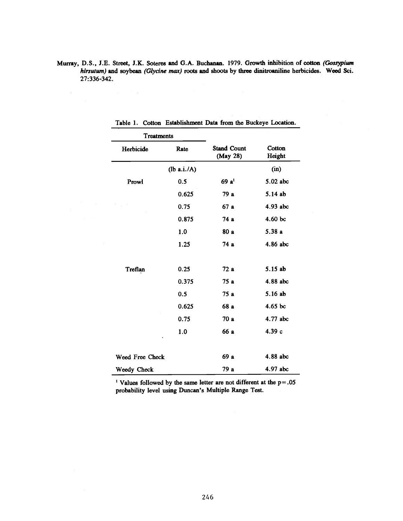Murray, D.S., J.E. Street, J.K. Soteres and G.A. Buchanan. 1979. Growth inhibition of cotton (Gossypium hirsutum) and soybean (Glycine max) roots and shoots by three dinitroaniline herbicides. Weed Sci. 27:336 -342.

| <b>Treatments</b> |             |                                |                  |  |
|-------------------|-------------|--------------------------------|------------------|--|
| Herbicide         | Rate        | <b>Stand Count</b><br>(May 28) | Cotton<br>Height |  |
|                   | (lb a.i./A) |                                | (in)             |  |
| Prowl             | 0.5         | $69a^{1}$                      | 5.02 abc         |  |
|                   | 0.625       | 79 a                           | 5.14 ab          |  |
|                   | 0.75        | 67 a                           | 4.93 abc         |  |
|                   | 0.875       | 74 a                           | 4.60 bc          |  |
|                   | 1.0         | 80 a                           | 5.38 a           |  |
|                   | 1.25        | 74 a                           | 4.86 abc         |  |
| Treflan           | 0.25        | 72 a                           | 5.15 ab          |  |
|                   | 0.375       | 75 a                           | 4.88 abc         |  |
|                   | 0.5         | 75 a                           | 5.16 ab          |  |
|                   | 0.625       | 68 a                           | $4.65$ bc        |  |
|                   | 0.75        | 70 a                           | 4.77 abc         |  |
| $\bullet$         | 1.0         | 66 a                           | 4.39 с           |  |
| Weed Free Check   |             | 69 a                           | 4.88 abc         |  |
| Weedy Check       |             | 79 a                           | 4.97 abc         |  |

Table 1. Cotton Establishment Data from the Buckeye Location.

<sup>1</sup> Values followed by the same letter are not different at the  $p = .05$ probability level using Duncan's Multiple Range Test.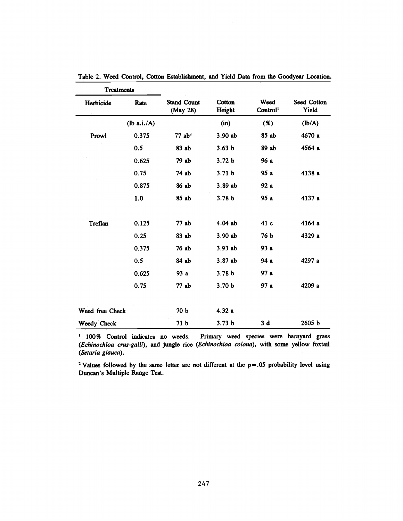| <b>Treatments</b> |             |                                |                   |                              |                      |
|-------------------|-------------|--------------------------------|-------------------|------------------------------|----------------------|
| Herbicide         | Rate        | <b>Stand Count</b><br>(May 28) | Cotton<br>Height  | Weed<br>Control <sup>1</sup> | Seed Cotton<br>Yield |
|                   | (lb a.i./A) |                                | (in)              | (%)                          | (lb/A)               |
| Prowl             | 0.375       | $77$ ab <sup>2</sup>           | 3.90 ab           | 85 ab                        | 4670 a               |
|                   | 0.5         | 83 ab                          | 3.63 <sub>b</sub> | 89 ab                        | 4564 а               |
|                   | 0.625       | 79 ab                          | 3.72 <sub>b</sub> | 96 a                         |                      |
|                   | 0.75        | 74 ab                          | 3.71 <sub>b</sub> | 95 a                         | 4138 a               |
|                   | 0.875       | 86 ab                          | 3.89 ab           | 92 a                         |                      |
|                   | 1.0         | 85 ab                          | 3.78 <sub>b</sub> | 95 a                         | 4137 а               |
| <b>Treflan</b>    | 0.125       | 77 ab                          | 4.04 ab           | 41 c                         | 4164 a               |
|                   | 0.25        | 83 ab                          | 3.90 ab           | 76 b                         | 4329 a               |
|                   | 0.375       | 76 ab                          | 3.93 ab           | 93 a                         |                      |
|                   | 0.5         | 84 ab                          | 3.87 ab           | 94 a                         | 4297 a               |
|                   | 0.625       | 93 a                           | 3.78 <sub>b</sub> | 97 a                         |                      |
|                   | 0.75        | 77 ab                          | 3.70 <sub>b</sub> | 97 a                         | 4209 a               |
| Weed free Check   |             | 70 b                           | 4.32a             |                              |                      |
| Weedy Check       |             | 71 b                           | 3.73 <sub>b</sub> | 3 d                          | 2605 b               |

Table 2. Weed Control, Cotton Establishment, and Yield Data from the Goodyear Location.

<sup>1</sup> 100% Control indicates no weeds. Primary weed species were barnyard grass (Echinochloa crus-galli), and jungle rice (Echinochloa colona), with some yellow foxtail (Setaria glauca).

<sup>2</sup> Values followed by the same letter are not different at the  $p = .05$  probability level using Duncan's Multiple Range Test.